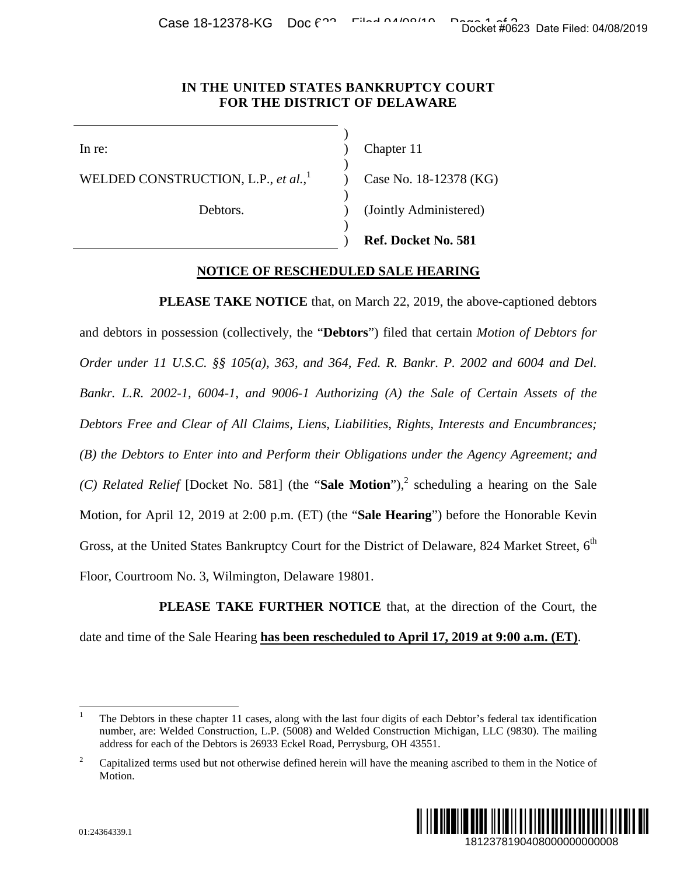Case 18-12378-KG Doc  $f^2$  Filed 04/00/10 Page 16 Filed 04/08/2019

## **IN THE UNITED STATES BANKRUPTCY COURT FOR THE DISTRICT OF DELAWARE**

 ) )

)

WELDED CONSTRUCTION, L.P., *et al.*, 1

Debtors.

 $)$ 

 $)$ 

In re: (a) Chapter 11

Case No. 18-12378 (KG)

(Jointly Administered)

) **Ref. Docket No. 581** 

## **NOTICE OF RESCHEDULED SALE HEARING**

**PLEASE TAKE NOTICE** that, on March 22, 2019, the above-captioned debtors and debtors in possession (collectively, the "**Debtors**") filed that certain *Motion of Debtors for Order under 11 U.S.C. §§ 105(a), 363, and 364, Fed. R. Bankr. P. 2002 and 6004 and Del. Bankr. L.R. 2002-1, 6004-1, and 9006-1 Authorizing (A) the Sale of Certain Assets of the Debtors Free and Clear of All Claims, Liens, Liabilities, Rights, Interests and Encumbrances; (B) the Debtors to Enter into and Perform their Obligations under the Agency Agreement; and*  (C) Related Relief [Docket No. 581] (the "Sale Motion"),<sup>2</sup> scheduling a hearing on the Sale Motion, for April 12, 2019 at 2:00 p.m. (ET) (the "**Sale Hearing**") before the Honorable Kevin Gross, at the United States Bankruptcy Court for the District of Delaware, 824 Market Street, 6<sup>th</sup> Floor, Courtroom No. 3, Wilmington, Delaware 19801. Docket #0623 Date Filed: 04/08/2019<br>
1813<br>
1813<br>
1813<br>
1813<br>
1819<br>
2802 and 6004 and Del.<br>
1810<br>
182022 and 6004 and Del.<br>
1816<br>
1816<br>
1824 Market Street, 6<sup>th</sup><br>
1819 a hearing on the Sale<br>
1919 at 9:00 a.m. (ET).<br>
1919 a

**PLEASE TAKE FURTHER NOTICE** that, at the direction of the Court, the date and time of the Sale Hearing **has been rescheduled to April 17, 2019 at 9:00 a.m. (ET)**.

<sup>2</sup> Capitalized terms used but not otherwise defined herein will have the meaning ascribed to them in the Notice of Motion.



 $\frac{1}{1}$  The Debtors in these chapter 11 cases, along with the last four digits of each Debtor's federal tax identification number, are: Welded Construction, L.P. (5008) and Welded Construction Michigan, LLC (9830). The mailing address for each of the Debtors is 26933 Eckel Road, Perrysburg, OH 43551.